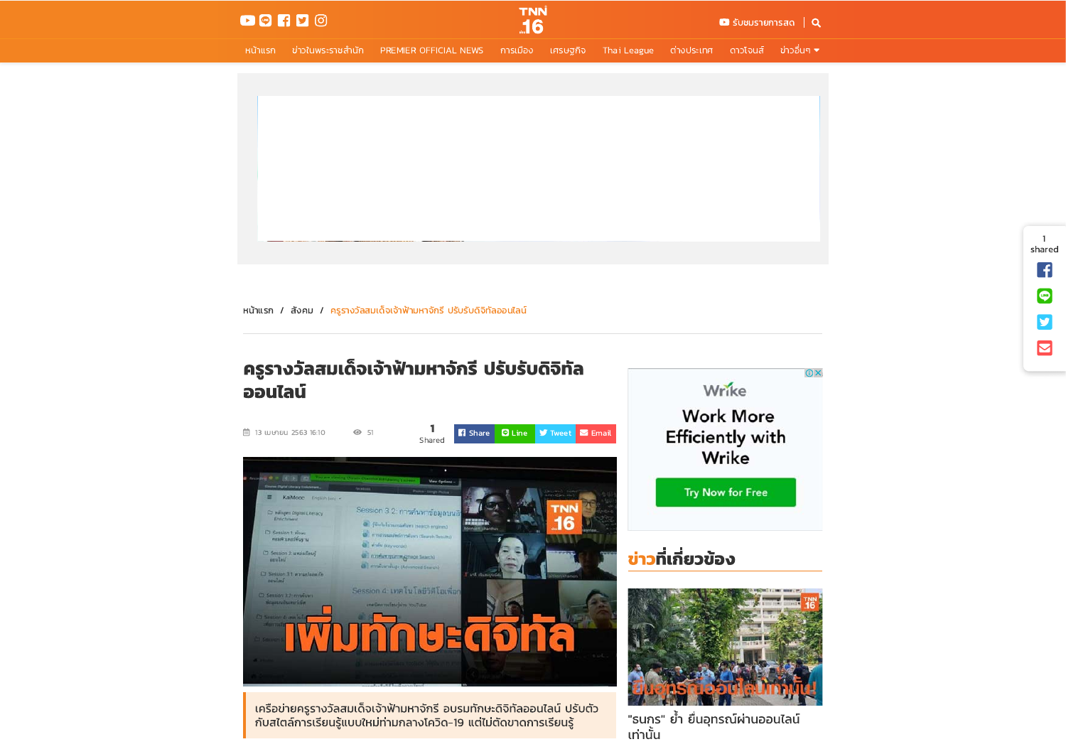

้ หน้าแรก ข่าวในพระราชสำนัก PREMIER OFFICIAL NEWS การเมือง เศรษฐกิจ Thai League ต่างประเทศ ดาวโจนส์ ข่าวอื่นๆ.▼



หน้าแรก / สังคม / ครูรางวัลสมเด็จเจ้าฟ้ามหาจักรี ปรับรับดิจิทัลออนไลน์

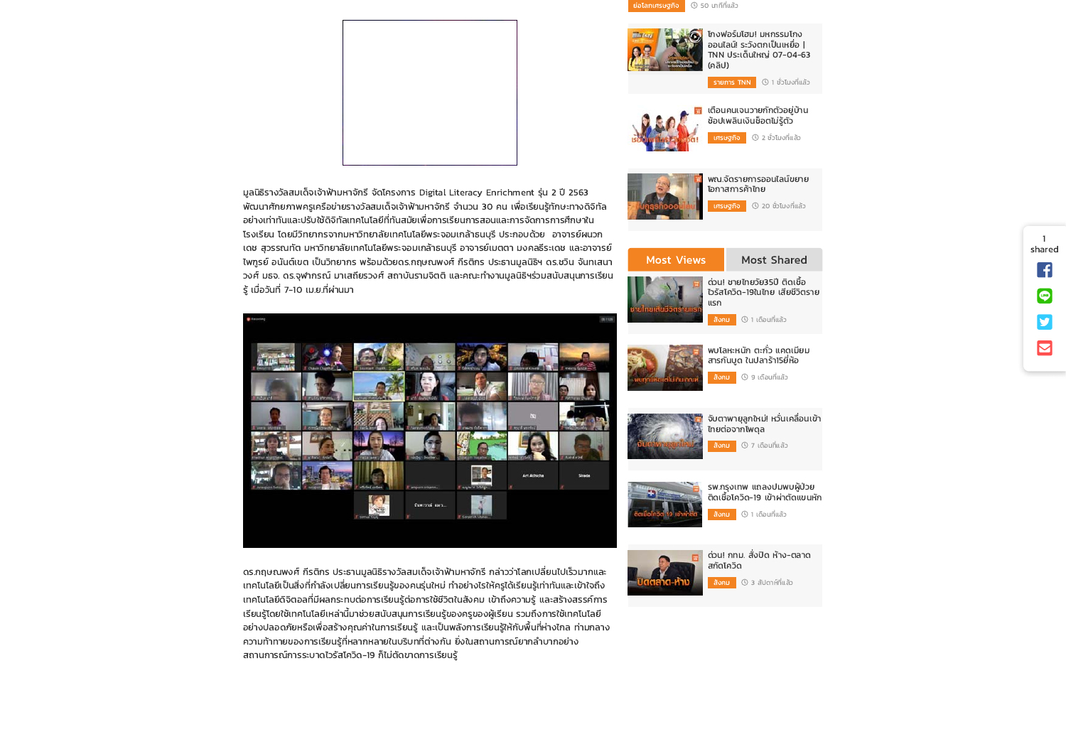

 $\widehat{\mathbf{C}}$ 



โกงฟอร์มโฮม! มหกรรมโกง

มูลนิธิรางวัลสมเด็จเจ้าฟ้ามหาจักรี จัดโครงการ Digital Literacy Enrichment รุ่น 2 ปี 2563 พัฒนาศักยภาพครเครือข่ายรางวัลสมเด็จเจ้าฟ้ามหาจักรี จำนวน 30 คน เพื่อเรียนรัทักษะทางดิจิทัล ้อย่างเท่าทันและปรับใช้ดิจิทัลเทคโนโลยีที่ทันสมัยเพื่อการเรียนการสอนและการจัดการการศึกษาใน โรงเรียน โดยมีวิทยากรจากมหาวิทยาลัยเทคโนโลยีพระจอมเกล้าธนบุรี ประกอบด้วย อาจารย์ผนวก เดช สุวรรณทัต มหาวิทยาลัยเทคโนโลยีพระจอมเกล้าธนบุรี อาจารย์เมตตา มงคลธีระเดช และอาจารย์ ไพฑูรย์ อนันต์เขต เป็นวิทยากร พร้อมด้วยดร.กฤษณพงศ์ กีรติกร ประธานมูลนิธิฯ ดร.ชวิน จันทเสนา วงศ์ มธจ. ดร.จุฬากรณ์ มาเสถียรวงศ์ สถาบันรามจิตติ และคณะทำงานมูลนิธิฯร่วมสนับสนุนการเรียน ร้ เมื่อวันที่ 7-10 เม.ย.ที่ผ่านมา





ิดร.กฤษณพงศ์ กีรติกร ประธานมูลนิธิรางวัลสมเด็จเจ้าฟ้ามหาจักรี กล่าวว่าโลกเปลี่ยนไปเร็วมากและ เทคโนโลยีเป็นสิ่งที่กำลังเปลี่ยนการเรียนรู้ของคนรุ่นใหม่ ทำอย่างไรให้ครูได้เรียนรู้เท่าทันและเข้าใจถึง เทคโนโลยีดิจิตอลที่มีผลกระทบต่อการเรียนรู้ต่อการใช้ชีวิตในสังคม เข้าถึงความรู้ และสร้างสรรค์การ ้เรียนรู้โดยใช้เทคโนโลยีเหล่านี้มาช่วยสนับสนุนการเรียนรู้ของครูของผู้เรียน รวมถึงการใช้เทคโนโลยี ้อย่างปลอดภัยหรือเพื่อสร้างคุณค่าในการเรียนรู้ และเป็นพลังการเรียนรู้ให้กับพื้นที่ห่างไกล ท่ามกลาง ความท้าทายของการเรียนรู้ที่หลากหลายในบริบทที่ต่างกัน ยิ่งในสถานการณ์ยากลำบากอย่าง สถานการณ์การระบาดไวรัสโควิด-19 ก็ไม่ตัดขาดการเรียนรู้